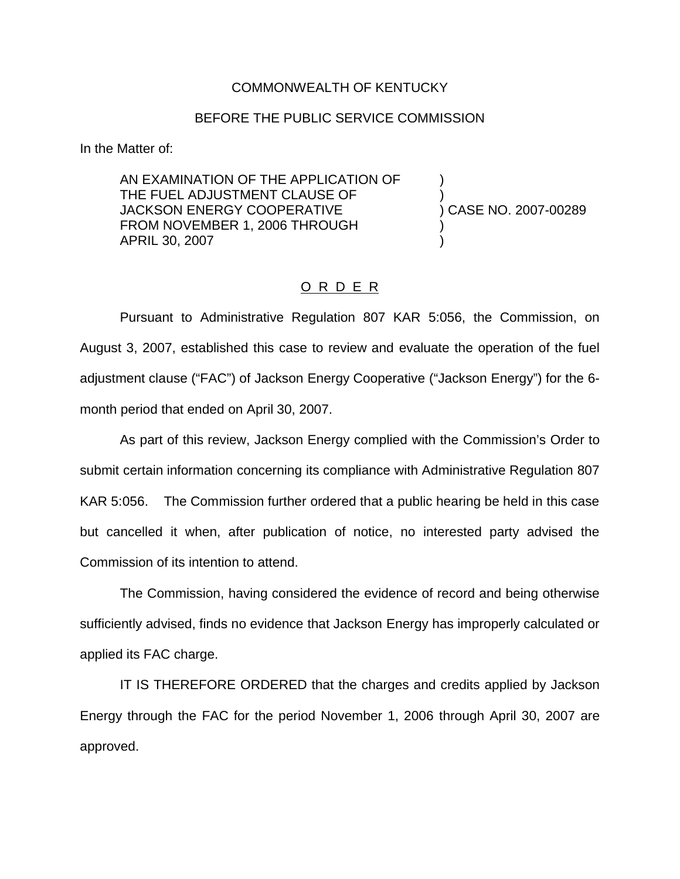## COMMONWEALTH OF KENTUCKY

## BEFORE THE PUBLIC SERVICE COMMISSION

In the Matter of:

AN EXAMINATION OF THE APPLICATION OF THE FUEL ADJUSTMENT CLAUSE OF  $\qquad \qquad$ ) CASE NO. 2007-00289 JACKSON ENERGY COOPERATIVE FROM NOVEMBER 1, 2006 THROUGH APRIL 30, 2007 )

## O R D E R

Pursuant to Administrative Regulation 807 KAR 5:056, the Commission, on August 3, 2007, established this case to review and evaluate the operation of the fuel adjustment clause ("FAC") of Jackson Energy Cooperative ("Jackson Energy") for the 6 month period that ended on April 30, 2007.

As part of this review, Jackson Energy complied with the Commission's Order to submit certain information concerning its compliance with Administrative Regulation 807 KAR 5:056. The Commission further ordered that a public hearing be held in this case but cancelled it when, after publication of notice, no interested party advised the Commission of its intention to attend.

The Commission, having considered the evidence of record and being otherwise sufficiently advised, finds no evidence that Jackson Energy has improperly calculated or applied its FAC charge.

IT IS THEREFORE ORDERED that the charges and credits applied by Jackson Energy through the FAC for the period November 1, 2006 through April 30, 2007 are approved.